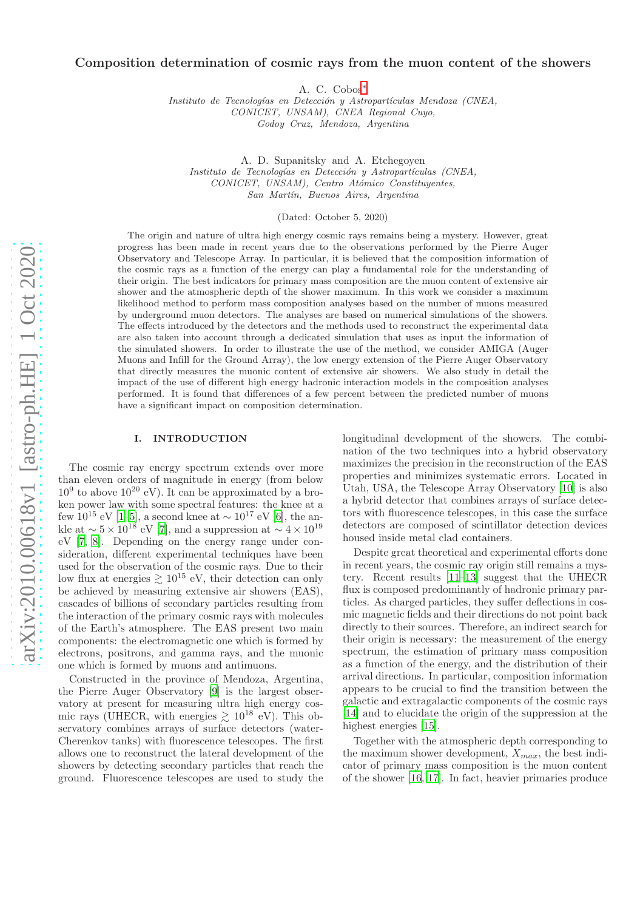# Composition determination of cosmic rays from the muon content of the showers

A. C. Cobos[∗](#page-9-0)

Instituto de Tecnologías en Detección y Astropartículas Mendoza (CNEA, CONICET, UNSAM), CNEA Regional Cuyo, Godoy Cruz, Mendoza, Argentina

A. D. Supanitsky and A. Etchegoyen Instituto de Tecnologías en Detección y Astropartículas (CNEA, CONICET, UNSAM), Centro Atómico Constituyentes, San Martín, Buenos Aires, Argentina

(Dated: October 5, 2020)

The origin and nature of ultra high energy cosmic rays remains being a mystery. However, great progress has been made in recent years due to the observations performed by the Pierre Auger Observatory and Telescope Array. In particular, it is believed that the composition information of the cosmic rays as a function of the energy can play a fundamental role for the understanding of their origin. The best indicators for primary mass composition are the muon content of extensive air shower and the atmospheric depth of the shower maximum. In this work we consider a maximum likelihood method to perform mass composition analyses based on the number of muons measured by underground muon detectors. The analyses are based on numerical simulations of the showers. The effects introduced by the detectors and the methods used to reconstruct the experimental data are also taken into account through a dedicated simulation that uses as input the information of the simulated showers. In order to illustrate the use of the method, we consider AMIGA (Auger Muons and Infill for the Ground Array), the low energy extension of the Pierre Auger Observatory that directly measures the muonic content of extensive air showers. We also study in detail the impact of the use of different high energy hadronic interaction models in the composition analyses performed. It is found that differences of a few percent between the predicted number of muons have a significant impact on composition determination.

### I. INTRODUCTION

The cosmic ray energy spectrum extends over more than eleven orders of magnitude in energy (from below  $10^9$  to above  $10^{20}$  eV). It can be approximated by a broken power law with some spectral features: the knee at a few  $10^{15}$  eV [\[1](#page-9-1)[–5\]](#page-9-2), a second knee at  $\sim 10^{17}$  eV [\[6](#page-9-3)], the ankle at  $\sim 5 \times 10^{18}$  eV [\[7\]](#page-9-4), and a suppression at  $\sim 4 \times 10^{19}$ eV [\[7](#page-9-4), [8\]](#page-9-5). Depending on the energy range under consideration, different experimental techniques have been used for the observation of the cosmic rays. Due to their low flux at energies  $\gtrsim 10^{15}$  eV, their detection can only be achieved by measuring extensive air showers (EAS), cascades of billions of secondary particles resulting from the interaction of the primary cosmic rays with molecules of the Earth's atmosphere. The EAS present two main components: the electromagnetic one which is formed by electrons, positrons, and gamma rays, and the muonic one which is formed by muons and antimuons.

Constructed in the province of Mendoza, Argentina, the Pierre Auger Observatory [\[9](#page-9-6)] is the largest observatory at present for measuring ultra high energy cosmic rays (UHECR, with energies  $\gtrsim 10^{18}$  eV). This observatory combines arrays of surface detectors (water-Cherenkov tanks) with fluorescence telescopes. The first allows one to reconstruct the lateral development of the showers by detecting secondary particles that reach the ground. Fluorescence telescopes are used to study the longitudinal development of the showers. The combination of the two techniques into a hybrid observatory maximizes the precision in the reconstruction of the EAS properties and minimizes systematic errors. Located in Utah, USA, the Telescope Array Observatory [\[10\]](#page-9-7) is also a hybrid detector that combines arrays of surface detectors with fluorescence telescopes, in this case the surface detectors are composed of scintillator detection devices housed inside metal clad containers.

Despite great theoretical and experimental efforts done in recent years, the cosmic ray origin still remains a mystery. Recent results [\[11](#page-9-8)[–13\]](#page-9-9) suggest that the UHECR flux is composed predominantly of hadronic primary particles. As charged particles, they suffer deflections in cosmic magnetic fields and their directions do not point back directly to their sources. Therefore, an indirect search for their origin is necessary: the measurement of the energy spectrum, the estimation of primary mass composition as a function of the energy, and the distribution of their arrival directions. In particular, composition information appears to be crucial to find the transition between the galactic and extragalactic components of the cosmic rays [\[14\]](#page-9-10) and to elucidate the origin of the suppression at the highest energies [\[15\]](#page-9-11).

Together with the atmospheric depth corresponding to the maximum shower development,  $X_{max}$ , the best indicator of primary mass composition is the muon content of the shower [\[16,](#page-9-12) [17\]](#page-9-13). In fact, heavier primaries produce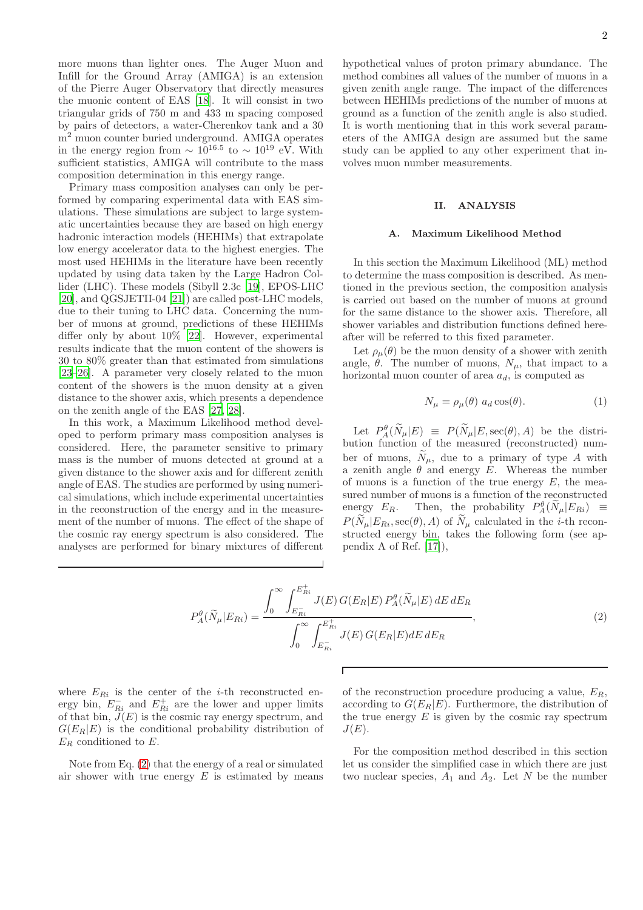more muons than lighter ones. The Auger Muon and Infill for the Ground Array (AMIGA) is an extension of the Pierre Auger Observatory that directly measures the muonic content of EAS [\[18](#page-9-14)]. It will consist in two triangular grids of 750 m and 433 m spacing composed by pairs of detectors, a water-Cherenkov tank and a 30 m<sup>2</sup> muon counter buried underground. AMIGA operates in the energy region from  $\sim 10^{16.5}$  to  $\sim 10^{19}$  eV. With sufficient statistics, AMIGA will contribute to the mass composition determination in this energy range.

Primary mass composition analyses can only be performed by comparing experimental data with EAS simulations. These simulations are subject to large systematic uncertainties because they are based on high energy hadronic interaction models (HEHIMs) that extrapolate low energy accelerator data to the highest energies. The most used HEHIMs in the literature have been recently updated by using data taken by the Large Hadron Collider (LHC). These models (Sibyll 2.3c [\[19](#page-9-15)], EPOS-LHC [\[20\]](#page-9-16), and QGSJETII-04 [\[21](#page-9-17)]) are called post-LHC models, due to their tuning to LHC data. Concerning the number of muons at ground, predictions of these HEHIMs differ only by about 10% [\[22\]](#page-9-18). However, experimental results indicate that the muon content of the showers is 30 to 80% greater than that estimated from simulations [\[23](#page-9-19)[–26\]](#page-9-20). A parameter very closely related to the muon content of the showers is the muon density at a given distance to the shower axis, which presents a dependence on the zenith angle of the EAS [\[27](#page-9-21), [28](#page-9-22)].

In this work, a Maximum Likelihood method developed to perform primary mass composition analyses is considered. Here, the parameter sensitive to primary mass is the number of muons detected at ground at a given distance to the shower axis and for different zenith angle of EAS. The studies are performed by using numerical simulations, which include experimental uncertainties in the reconstruction of the energy and in the measurement of the number of muons. The effect of the shape of the cosmic ray energy spectrum is also considered. The analyses are performed for binary mixtures of different

hypothetical values of proton primary abundance. The method combines all values of the number of muons in a given zenith angle range. The impact of the differences between HEHIMs predictions of the number of muons at ground as a function of the zenith angle is also studied. It is worth mentioning that in this work several parameters of the AMIGA design are assumed but the same study can be applied to any other experiment that involves muon number measurements.

# II. ANALYSIS

# A. Maximum Likelihood Method

In this section the Maximum Likelihood (ML) method to determine the mass composition is described. As mentioned in the previous section, the composition analysis is carried out based on the number of muons at ground for the same distance to the shower axis. Therefore, all shower variables and distribution functions defined hereafter will be referred to this fixed parameter.

Let  $\rho_{\mu}(\theta)$  be the muon density of a shower with zenith angle,  $\theta$ . The number of muons,  $N_{\mu}$ , that impact to a horizontal muon counter of area  $a_d$ , is computed as

$$
N_{\mu} = \rho_{\mu}(\theta) \ a_d \cos(\theta). \tag{1}
$$

Let  $P^{\theta}_{A}(\tilde{N}_{\mu}|E) \equiv P(\tilde{N}_{\mu}|E,\sec(\theta),A)$  be the distribution function of the measured (reconstructed) number of muons,  $\widetilde{N}_{\mu}$ , due to a primary of type A with a zenith angle  $\theta$  and energy E. Whereas the number of muons is a function of the true energy  $E$ , the measured number of muons is a function of the reconstructed energy  $E_R$ . Then, the probability  $P_A^{\theta}(\tilde{N}_{\mu}|E_{Ri}) \equiv$  $P(\widetilde{N}_{\mu}|E_{Ri},\sec(\theta),A)$  of  $\widetilde{N}_{\mu}$  calculated in the *i*-th reconstructed energy bin, takes the following form (see appendix A of Ref. [\[17\]](#page-9-13)),

<span id="page-1-0"></span>
$$
P_{A}^{\theta}(\widetilde{N}_{\mu}|E_{Ri}) = \frac{\int_{0}^{\infty} \int_{E_{Ri}^{-}}^{E_{Ri}^{+}} J(E) G(E_{R}|E) P_{A}^{\theta}(\widetilde{N}_{\mu}|E) dE dE_{R}}{\int_{0}^{\infty} \int_{E_{Ri}^{-}}^{E_{Ri}^{+}} J(E) G(E_{R}|E) dE dE_{R}},
$$
\n(2)

where  $E_{Ri}$  is the center of the *i*-th reconstructed energy bin,  $E_{Ri}^-$  and  $E_{Ri}^+$  are the lower and upper limits of that bin,  $\ddot{J}(E)$  is the cosmic ray energy spectrum, and  $G(E_R|E)$  is the conditional probability distribution of  $E_R$  conditioned to  $E$ .

Note from Eq. [\(2\)](#page-1-0) that the energy of a real or simulated air shower with true energy  $E$  is estimated by means of the reconstruction procedure producing a value,  $E_R$ , according to  $G(E_R|E)$ . Furthermore, the distribution of the true energy  $E$  is given by the cosmic ray spectrum  $J(E)$ .

For the composition method described in this section let us consider the simplified case in which there are just two nuclear species,  $A_1$  and  $A_2$ . Let N be the number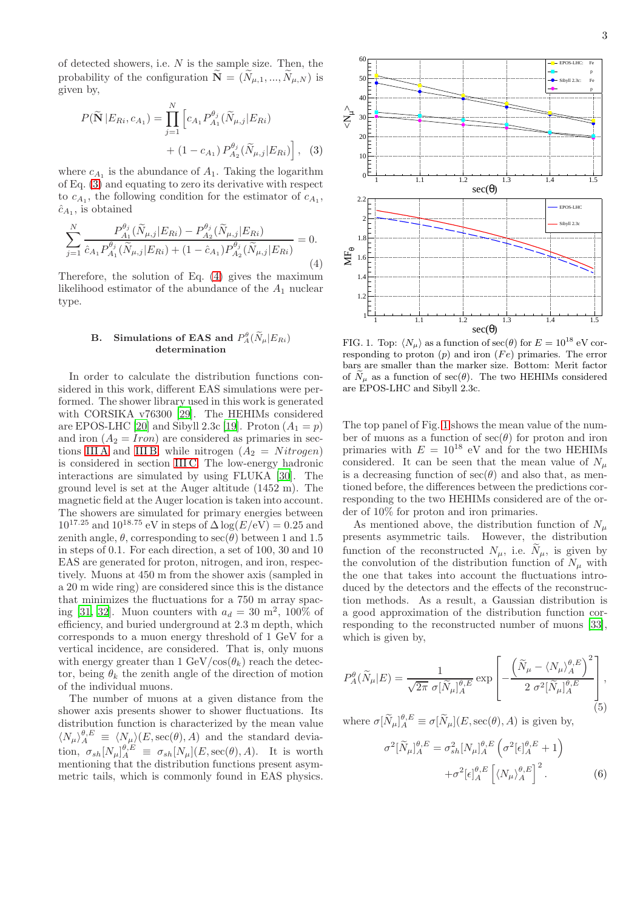of detected showers, i.e.  $N$  is the sample size. Then, the probability of the configuration  $\widetilde{\mathbf{N}} = (\widetilde{N}_{u,1},...,\widetilde{N}_{u,N})$  is given by,

<span id="page-2-0"></span>
$$
P(\widetilde{\mathbf{N}} | E_{Ri}, c_{A_1}) = \prod_{j=1}^{N} \left[ c_{A_1} P_{A_1}^{\theta_j}(\widetilde{N}_{\mu,j} | E_{Ri}) + (1 - c_{A_1}) P_{A_2}^{\theta_j}(\widetilde{N}_{\mu,j} | E_{Ri}) \right], \quad (3)
$$

where  $c_{A_1}$  is the abundance of  $A_1$ . Taking the logarithm of Eq. [\(3\)](#page-2-0) and equating to zero its derivative with respect to  $c_{A_1}$ , the following condition for the estimator of  $c_{A_1}$ ,  $\hat{c}_{A_1}$ , is obtained

<span id="page-2-1"></span>
$$
\sum_{j=1}^{N} \frac{P_{A_1}^{\theta_j}(\tilde{N}_{\mu,j}|E_{Ri}) - P_{A_2}^{\theta_j}(\tilde{N}_{\mu,j}|E_{Ri})}{\hat{c}_{A_1} P_{A_1}^{\theta_j}(\tilde{N}_{\mu,j}|E_{Ri}) + (1 - \hat{c}_{A_1}) P_{A_2}^{\theta_j}(\tilde{N}_{\mu,j}|E_{Ri})} = 0.
$$
\n(4)

Therefore, the solution of Eq. [\(4\)](#page-2-1) gives the maximum likelihood estimator of the abundance of the  $A_1$  nuclear type.

# B. Simulations of EAS and  $P_A^{\theta}(\widetilde{N}_{\mu}|E_{Ri})$ determination

In order to calculate the distribution functions considered in this work, different EAS simulations were performed. The shower library used in this work is generated with CORSIKA v76300 [\[29](#page-9-23)]. The HEHIMs considered are EPOS-LHC [\[20\]](#page-9-16) and Sibyll 2.3c [\[19\]](#page-9-15). Proton  $(A_1 = p)$ and iron  $(A_2 = Iron)$  are considered as primaries in sec-tions [III A](#page-4-0) and [III B,](#page-5-0) while nitrogen  $(A_2 = Nitrogen)$ is considered in section [III C.](#page-6-0) The low-energy hadronic interactions are simulated by using FLUKA [\[30](#page-9-24)]. The ground level is set at the Auger altitude (1452 m). The magnetic field at the Auger location is taken into account. The showers are simulated for primary energies between  $10^{17.25}$  and  $10^{18.75}$  eV in steps of  $\Delta \log(E/\text{eV}) = 0.25$  and zenith angle,  $\theta$ , corresponding to  $\sec(\theta)$  between 1 and 1.5 in steps of 0.1. For each direction, a set of 100, 30 and 10 EAS are generated for proton, nitrogen, and iron, respectively. Muons at 450 m from the shower axis (sampled in a 20 m wide ring) are considered since this is the distance that minimizes the fluctuations for a 750 m array spac-ing [\[31,](#page-9-25) [32\]](#page-9-26). Muon counters with  $a_d = 30$  m<sup>2</sup>, 100% of efficiency, and buried underground at 2.3 m depth, which corresponds to a muon energy threshold of 1 GeV for a vertical incidence, are considered. That is, only muons with energy greater than 1 GeV/cos $(\theta_k)$  reach the detector, being  $\theta_k$  the zenith angle of the direction of motion of the individual muons.

The number of muons at a given distance from the shower axis presents shower to shower fluctuations. Its distribution function is characterized by the mean value  $\langle N_{\mu} \rangle^{\theta,E}_{A} \equiv \langle N_{\mu} \rangle (E,\sec(\theta), A)$  and the standard deviation,  $\sigma_{sh}[N_{\mu}]_{A}^{\theta,E} \equiv \sigma_{sh}[N_{\mu}](E,\sec(\theta),A)$ . It is worth mentioning that the distribution functions present asymmetric tails, which is commonly found in EAS physics.



<span id="page-2-2"></span>FIG. 1. Top:  $\langle N_\mu \rangle$  as a function of  $\sec(\theta)$  for  $E = 10^{18}$  eV corresponding to proton  $(p)$  and iron  $(Fe)$  primaries. The error bars are smaller than the marker size. Bottom: Merit factor of  $N_{\mu}$  as a function of sec( $\theta$ ). The two HEHIMs considered are EPOS-LHC and Sibyll 2.3c.

The top panel of Fig. [1](#page-2-2) shows the mean value of the number of muons as a function of  $\sec(\theta)$  for proton and iron primaries with  $E = 10^{18}$  eV and for the two HEHIMs considered. It can be seen that the mean value of  $N_{\mu}$ is a decreasing function of  $\sec(\theta)$  and also that, as mentioned before, the differences between the predictions corresponding to the two HEHIMs considered are of the order of 10% for proton and iron primaries.

As mentioned above, the distribution function of  $N_{\mu}$ presents asymmetric tails. However, the distribution function of the reconstructed  $N_{\mu}$ , i.e.  $\widetilde{N}_{\mu}$ , is given by the convolution of the distribution function of  $N_\mu$  with the one that takes into account the fluctuations introduced by the detectors and the effects of the reconstruction methods. As a result, a Gaussian distribution is a good approximation of the distribution function corresponding to the reconstructed number of muons [\[33\]](#page-9-27), which is given by,

<span id="page-2-3"></span>
$$
P_A^{\theta}(\widetilde{N}_{\mu}|E) = \frac{1}{\sqrt{2\pi} \sigma[\widetilde{N}_{\mu}]_A^{\theta,E}} \exp\left[-\frac{\left(\widetilde{N}_{\mu} - \langle N_{\mu}\rangle_A^{\theta,E}\right)^2}{2 \sigma^2[\widetilde{N}_{\mu}]_A^{\theta,E}}\right],\tag{5}
$$

where  $\sigma[\widetilde{N}_{\mu}]_A^{\theta,E} \equiv \sigma[\widetilde{N}_{\mu}](E,\sec(\theta),A)$  is given by,

<span id="page-2-4"></span>
$$
\sigma^2[\widetilde{N}_{\mu}]_A^{\theta,E} = \sigma_{sh}^2[N_{\mu}]_A^{\theta,E}\left(\sigma^2[\epsilon]_A^{\theta,E} + 1\right) \n+ \sigma^2[\epsilon]_A^{\theta,E}\left[\langle N_{\mu}\rangle_A^{\theta,E}\right]^2.
$$
\n(6)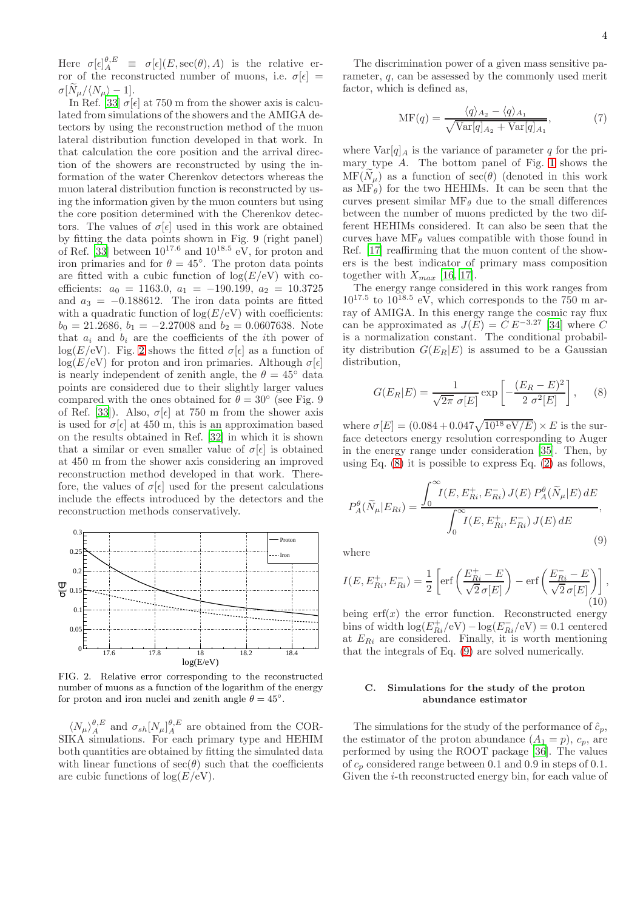Here  $\sigma[\epsilon]_A^{\theta,E} \equiv \sigma[\epsilon](E,\sec(\theta),A)$  is the relative error of the reconstructed number of muons, i.e.  $\sigma[\epsilon] =$  $\sigma[N_\mu/\langle N_\mu \rangle - 1].$ 

In Ref. [\[33\]](#page-9-27)  $\sigma[\epsilon]$  at 750 m from the shower axis is calculated from simulations of the showers and the AMIGA detectors by using the reconstruction method of the muon lateral distribution function developed in that work. In that calculation the core position and the arrival direction of the showers are reconstructed by using the information of the water Cherenkov detectors whereas the muon lateral distribution function is reconstructed by using the information given by the muon counters but using the core position determined with the Cherenkov detectors. The values of  $\sigma[\epsilon]$  used in this work are obtained by fitting the data points shown in Fig. 9 (right panel) of Ref. [\[33\]](#page-9-27) between  $10^{17.6}$  and  $10^{18.5}$  eV, for proton and iron primaries and for  $\theta = 45^\circ$ . The proton data points are fitted with a cubic function of  $log(E/eV)$  with coefficients:  $a_0 = 1163.0, a_1 = -190.199, a_2 = 10.3725$ and  $a_3 = -0.188612$ . The iron data points are fitted with a quadratic function of  $log(E/eV)$  with coefficients:  $b_0 = 21.2686, b_1 = -2.27008$  and  $b_2 = 0.0607638$ . Note that  $a_i$  and  $b_i$  are the coefficients of the *i*th power of  $log(E/eV)$ . Fig. [2](#page-3-0) shows the fitted  $\sigma[\epsilon]$  as a function of  $log(E/eV)$  for proton and iron primaries. Although  $\sigma[\epsilon]$ is nearly independent of zenith angle, the  $\theta = 45^\circ$  data points are considered due to their slightly larger values compared with the ones obtained for  $\theta = 30^{\circ}$  (see Fig. 9) of Ref. [\[33\]](#page-9-27)). Also,  $\sigma[\epsilon]$  at 750 m from the shower axis is used for  $\sigma[\epsilon]$  at 450 m, this is an approximation based on the results obtained in Ref. [\[32\]](#page-9-26) in which it is shown that a similar or even smaller value of  $\sigma[\epsilon]$  is obtained at 450 m from the shower axis considering an improved reconstruction method developed in that work. Therefore, the values of  $\sigma[\epsilon]$  used for the present calculations include the effects introduced by the detectors and the reconstruction methods conservatively.



<span id="page-3-0"></span>FIG. 2. Relative error corresponding to the reconstructed number of muons as a function of the logarithm of the energy for proton and iron nuclei and zenith angle  $\theta = 45^{\circ}$ .

 $\langle N_{\mu} \rangle^{\theta,E}_{A}$  and  $\sigma_{sh}[N_{\mu}]^{\theta,E}_{A}$  are obtained from the COR-SIKA simulations. For each primary type and HEHIM both quantities are obtained by fitting the simulated data with linear functions of  $sec(\theta)$  such that the coefficients are cubic functions of  $\log(E/\text{eV})$ .

The discrimination power of a given mass sensitive parameter, q, can be assessed by the commonly used merit factor, which is defined as,

$$
\text{MF}(q) = \frac{\langle q \rangle_{A_2} - \langle q \rangle_{A_1}}{\sqrt{\text{Var}[q]_{A_2} + \text{Var}[q]_{A_1}}},\tag{7}
$$

where  $\text{Var}[q]_A$  is the variance of parameter q for the primary type  $A$ . The bottom panel of Fig. [1](#page-2-2) shows the  $MF(N_{\mu})$  as a function of sec( $\theta$ ) (denoted in this work as  $MF_\theta$ ) for the two HEHIMs. It can be seen that the curves present similar  $\text{MF}_{\theta}$  due to the small differences between the number of muons predicted by the two different HEHIMs considered. It can also be seen that the curves have  $\text{MF}_{\theta}$  values compatible with those found in Ref. [\[17\]](#page-9-13) reaffirming that the muon content of the showers is the best indicator of primary mass composition together with  $X_{max}$  [\[16,](#page-9-12) [17\]](#page-9-13).

The energy range considered in this work ranges from  $10^{17.5}$  to  $10^{18.5}$  eV, which corresponds to the 750 m array of AMIGA. In this energy range the cosmic ray flux can be approximated as  $J(E) = C E^{-3.27}$  [\[34](#page-9-28)] where C is a normalization constant. The conditional probability distribution  $G(E_R|E)$  is assumed to be a Gaussian distribution,

<span id="page-3-1"></span>
$$
G(E_R|E) = \frac{1}{\sqrt{2\pi} \sigma[E]} \exp\left[-\frac{(E_R - E)^2}{2 \sigma^2[E]}\right],\quad (8)
$$

where  $\sigma[E] = (0.084 + 0.047\sqrt{10^{18} \text{ eV}/E}) \times E$  is the surface detectors energy resolution corresponding to Auger in the energy range under consideration [\[35](#page-9-29)]. Then, by using Eq.  $(8)$  it is possible to express Eq.  $(2)$  as follows,

<span id="page-3-2"></span>
$$
P_{A}^{\theta}(\widetilde{N}_{\mu}|E_{Ri}) = \frac{\int_{0}^{\infty} I(E, E_{Ri}^{+}, E_{Ri}^{-}) J(E) P_{A}^{\theta}(\widetilde{N}_{\mu}|E) dE}{\int_{0}^{\infty} I(E, E_{Ri}^{+}, E_{Ri}^{-}) J(E) dE},
$$
\n(9)

where

$$
I(E, E_{Ri}^+, E_{Ri}^-) = \frac{1}{2} \left[ \text{erf}\left(\frac{E_{Ri}^+ - E}{\sqrt{2} \sigma[E]}\right) - \text{erf}\left(\frac{E_{Ri}^- - E}{\sqrt{2} \sigma[E]}\right) \right],
$$
\n(10)

being  $erf(x)$  the error function. Reconstructed energy bins of width  $\log(E_{Ri}^+/eV) - \log(E_{Ri}^-(eV) = 0.1$  centered at  $E_{Ri}$  are considered. Finally, it is worth mentioning that the integrals of Eq. [\(9\)](#page-3-2) are solved numerically.

# <span id="page-3-3"></span>C. Simulations for the study of the proton abundance estimator

The simulations for the study of the performance of  $\hat{c}_p$ , the estimator of the proton abundance  $(A_1 = p)$ ,  $c_p$ , are performed by using the ROOT package [\[36](#page-9-30)]. The values of  $c_p$  considered range between 0.1 and 0.9 in steps of 0.1. Given the i-th reconstructed energy bin, for each value of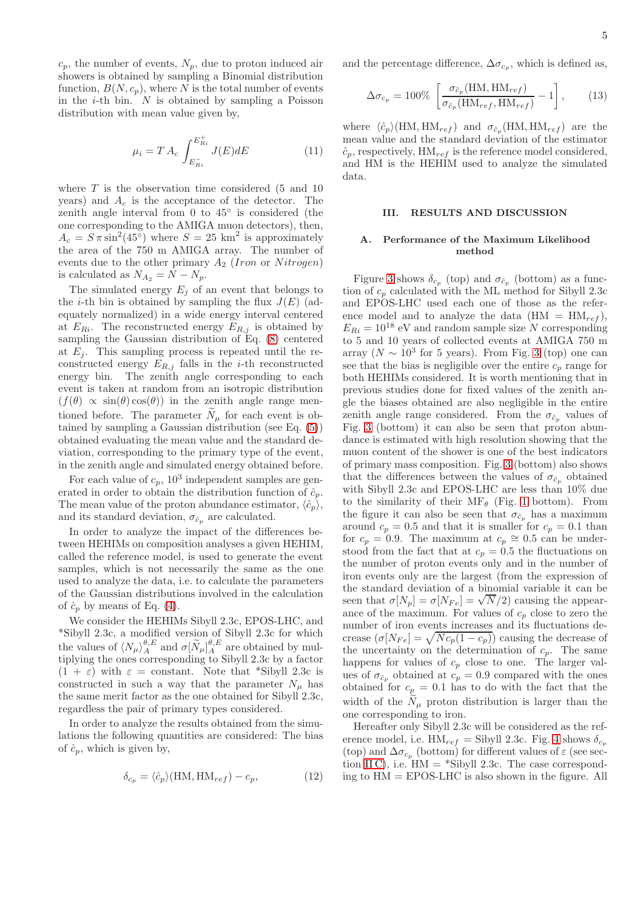$c_p$ , the number of events,  $N_p$ , due to proton induced air showers is obtained by sampling a Binomial distribution function,  $B(N, c_p)$ , where N is the total number of events in the  $i$ -th bin.  $N$  is obtained by sampling a Poisson distribution with mean value given by,

$$
\mu_i = T A_c \int_{E_{Ri}^-}^{E_{Ri}^+} J(E) dE \tag{11}
$$

where  $T$  is the observation time considered (5 and 10) years) and  $A_c$  is the acceptance of the detector. The zenith angle interval from 0 to  $45^{\circ}$  is considered (the one corresponding to the AMIGA muon detectors), then,  $A_c = S \pi \sin^2(45\degree)$  where  $S = 25 \text{ km}^2$  is approximately the area of the 750 m AMIGA array. The number of events due to the other primary  $A_2$  (Iron or Nitrogen) is calculated as  $N_{A_2} = N - N_p$ .

The simulated energy  $E_i$  of an event that belongs to the *i*-th bin is obtained by sampling the flux  $J(E)$  (adequately normalized) in a wide energy interval centered at  $E_{Ri}$ . The reconstructed energy  $E_{R,j}$  is obtained by sampling the Gaussian distribution of Eq. [\(8\)](#page-3-1) centered at  $E_i$ . This sampling process is repeated until the reconstructed energy  $E_{R,j}$  falls in the *i*-th reconstructed energy bin. The zenith angle corresponding to each event is taken at random from an isotropic distribution  $(f(\theta) \propto \sin(\theta) \cos(\theta))$  in the zenith angle range mentioned before. The parameter  $N_{\mu}$  for each event is obtained by sampling a Gaussian distribution (see Eq. [\(5\)](#page-2-3)) obtained evaluating the mean value and the standard deviation, corresponding to the primary type of the event, in the zenith angle and simulated energy obtained before.

For each value of  $c_p$ ,  $10^3$  independent samples are generated in order to obtain the distribution function of  $\hat{c}_p$ . The mean value of the proton abundance estimator,  $\langle \hat{c}_p \rangle$ , and its standard deviation,  $\sigma_{\hat{c}_p}$  are calculated.

In order to analyze the impact of the differences between HEHIMs on composition analyses a given HEHIM, called the reference model, is used to generate the event samples, which is not necessarily the same as the one used to analyze the data, i.e. to calculate the parameters of the Gaussian distributions involved in the calculation of  $\hat{c}_p$  by means of Eq. [\(4\)](#page-2-1).

We consider the HEHIMs Sibyll 2.3c, EPOS-LHC, and \*Sibyll 2.3c, a modified version of Sibyll 2.3c for which the values of  $\langle N_{\mu} \rangle_A^{\theta, E}$  and  $\sigma[\widetilde{N}_{\mu}]_A^{\theta, E}$  are obtained by multiplying the ones corresponding to Sibyll 2.3c by a factor  $(1 + \varepsilon)$  with  $\varepsilon$  = constant. Note that \*Sibyll 2.3c is constructed in such a way that the parameter  $N_{\mu}$  has the same merit factor as the one obtained for Sibyll 2.3c, regardless the pair of primary types considered.

In order to analyze the results obtained from the simulations the following quantities are considered: The bias of  $\hat{c}_p$ , which is given by,

$$
\delta_{c_p} = \langle \hat{c}_p \rangle (\text{HM}, \text{HM}_{ref}) - c_p, \tag{12}
$$

and the percentage difference,  $\Delta \sigma_{c_p}$ , which is defined as,

$$
\Delta \sigma_{c_p} = 100\% \left[ \frac{\sigma_{\hat{c}_p}(\text{HM}, \text{HM}_{ref})}{\sigma_{\hat{c}_p}(\text{HM}_{ref}, \text{HM}_{ref})} - 1 \right],\tag{13}
$$

where  $\langle \hat{c}_p \rangle$ (HM, HM<sub>ref</sub>) and  $\sigma_{\hat{c}_p}$ (HM, HM<sub>ref</sub>) are the mean value and the standard deviation of the estimator  $\hat{c}_p$ , respectively,  $HM_{ref}$  is the reference model considered, and HM is the HEHIM used to analyze the simulated data.

# III. RESULTS AND DISCUSSION

# <span id="page-4-0"></span>A. Performance of the Maximum Likelihood method

Figure [3](#page-5-1) shows  $\delta_{c_p}$  (top) and  $\sigma_{\hat{c}_p}$  (bottom) as a function of  $c_p$  calculated with the ML method for Sibyll 2.3c and EPOS-LHC used each one of those as the reference model and to analyze the data  $(HM = HM_{ref}),$  $E_{Ri} = 10^{18}$  eV and random sample size N corresponding to 5 and 10 years of collected events at AMIGA 750 m array ( $N \sim 10^3$  $N \sim 10^3$  for 5 years). From Fig. 3 (top) one can see that the bias is negligible over the entire  $c_p$  range for both HEHIMs considered. It is worth mentioning that in previous studies done for fixed values of the zenith angle the biases obtained are also negligible in the entire zenith angle range considered. From the  $\sigma_{\hat{c}_p}$  values of Fig. [3](#page-5-1) (bottom) it can also be seen that proton abundance is estimated with high resolution showing that the muon content of the shower is one of the best indicators of primary mass composition. Fig. [3](#page-5-1) (bottom) also shows that the differences between the values of  $\sigma_{\hat{c}_p}$  obtained with Sibyll 2.3c and EPOS-LHC are less than 10% due to the similarity of their  $MF_{\theta}$  (Fig. [1](#page-2-2) bottom). From the figure it can also be seen that  $\sigma_{\hat{c}_p}$  has a maximum around  $c_p = 0.5$  and that it is smaller for  $c_p = 0.1$  than for  $c_p = 0.9$ . The maximum at  $c_p \approx 0.5$  can be understood from the fact that at  $c_p = 0.5$  the fluctuations on the number of proton events only and in the number of iron events only are the largest (from the expression of the standard deviation of a binomial variable it can be seen that  $\sigma[N_p] = \sigma[N_{Fe}] = \sqrt{N/2}$  causing the appearance of the maximum. For values of  $c_p$  close to zero the number of iron events increases and its fluctuations decrease  $(\sigma[N_{Fe}] = \sqrt{Nc_p(1 - c_p)})$  causing the decrease of the uncertainty on the determination of  $c_p$ . The same happens for values of  $c_p$  close to one. The larger values of  $\sigma_{\hat{c}_p}$  obtained at  $c_p = 0.9$  compared with the ones obtained for  $c_p = 0.1$  has to do with the fact that the width of the  $\widetilde{N}_{\mu}$  proton distribution is larger than the one corresponding to iron.

Hereafter only Sibyll 2.3c will be considered as the reference model, i.e.  $HM_{ref} = Sibyll 2.3c$ . Fig. [4](#page-5-2) shows  $\delta_{c_p}$ (top) and  $\Delta \sigma_{c_p}$  (bottom) for different values of  $\varepsilon$  (see sec-tion [II C\)](#page-3-3), i.e.  $HM = *Sibyll$  2.3c. The case corresponding to  $HM = EPOS-LHC$  is also shown in the figure. All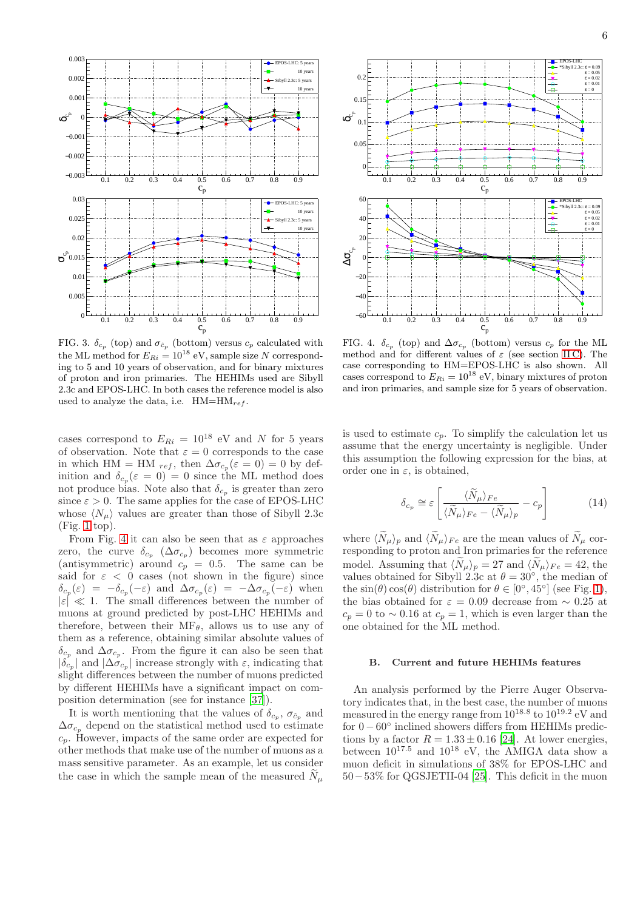

<span id="page-5-1"></span>FIG. 3.  $\delta_{c_p}$  (top) and  $\sigma_{\hat{c}_p}$  (bottom) versus  $c_p$  calculated with the ML method for  $E_{Ri} = 10^{18}$  eV, sample size N corresponding to 5 and 10 years of observation, and for binary mixtures of proton and iron primaries. The HEHIMs used are Sibyll 2.3c and EPOS-LHC. In both cases the reference model is also used to analyze the data, i.e.  $HM=HM_{ref}$ .

cases correspond to  $E_{Ri} = 10^{18}$  eV and N for 5 years of observation. Note that  $\varepsilon = 0$  corresponds to the case in which HM = HM  $_{ref}$ , then  $\Delta \sigma_{c_p}(\varepsilon = 0) = 0$  by definition and  $\delta_{c_p}(\varepsilon = 0) = 0$  since the ML method does not produce bias. Note also that  $\delta_{c_p}$  is greater than zero since  $\varepsilon > 0$ . The same applies for the case of EPOS-LHC whose  $\langle N_\mu \rangle$  values are greater than those of Sibyll 2.3c (Fig. [1](#page-2-2) top).

From Fig. [4](#page-5-2) it can also be seen that as  $\varepsilon$  approaches zero, the curve  $\delta_{c_p}$  ( $\Delta \sigma_{c_p}$ ) becomes more symmetric (antisymmetric) around  $c_p = 0.5$ . The same can be said for  $\varepsilon$  < 0 cases (not shown in the figure) since  $\delta_{c_p}(\varepsilon) = -\delta_{c_p}(-\varepsilon)$  and  $\Delta \sigma_{c_p}(\varepsilon) = -\Delta \sigma_{c_p}(-\varepsilon)$  when  $|\varepsilon| \ll 1$ . The small differences between the number of muons at ground predicted by post-LHC HEHIMs and therefore, between their  $\text{MF}_{\theta}$ , allows us to use any of them as a reference, obtaining similar absolute values of  $\delta_{c_p}$  and  $\Delta \sigma_{c_p}$ . From the figure it can also be seen that  $|\delta_{c_p}|$  and  $|\Delta \sigma_{c_p}|$  increase strongly with  $\varepsilon$ , indicating that slight differences between the number of muons predicted by different HEHIMs have a significant impact on composition determination (see for instance [\[37\]](#page-9-31)).

It is worth mentioning that the values of  $\delta_{c_p}$ ,  $\sigma_{\hat{c}_p}$  and  $\Delta \sigma_{c_p}$  depend on the statistical method used to estimate  $c_p$ . However, impacts of the same order are expected for other methods that make use of the number of muons as a mass sensitive parameter. As an example, let us consider the case in which the sample mean of the measured  $N_{\mu}$ 



<span id="page-5-2"></span>FIG. 4.  $\delta_{c_p}$  (top) and  $\Delta \sigma_{c_p}$  (bottom) versus  $c_p$  for the ML method and for different values of  $\varepsilon$  (see section IIC). The case corresponding to HM=EPOS-LHC is also shown. All cases correspond to  $E_{Ri} = 10^{18}$  eV, binary mixtures of proton and iron primaries, and sample size for 5 years of observation.

is used to estimate  $c_p$ . To simplify the calculation let us assume that the energy uncertainty is negligible. Under this assumption the following expression for the bias, at order one in  $\varepsilon$ , is obtained,

$$
\delta_{c_p} \cong \varepsilon \left[ \frac{\langle \tilde{N}_{\mu} \rangle_{Fe}}{\langle \tilde{N}_{\mu} \rangle_{Fe} - \langle \tilde{N}_{\mu} \rangle_{p}} - c_p \right] \tag{14}
$$

where  $\langle N_{\mu}\rangle_p$  and  $\langle N_{\mu}\rangle_{Fe}$  are the mean values of  $N_{\mu}$  corresponding to proton and Iron primaries for the reference model. Assuming that  $\langle N_{\mu}\rangle_p = 27$  and  $\langle N_{\mu}\rangle_{Fe} = 42$ , the values obtained for Sibyll 2.3c at  $\theta = 30^{\circ}$ , the median of the  $\sin(\theta)\cos(\theta)$  distribution for  $\theta \in [0^{\circ}, 45^{\circ}]$  (see Fig. [1\)](#page-2-2), the bias obtained for  $\varepsilon = 0.09$  decrease from ~ 0.25 at  $c_p = 0$  to ~ 0.16 at  $c_p = 1$ , which is even larger than the one obtained for the ML method.

# <span id="page-5-0"></span>B. Current and future HEHIMs features

An analysis performed by the Pierre Auger Observatory indicates that, in the best case, the number of muons measured in the energy range from  $10^{18.8}$  to  $10^{19.2}$  eV and for 0 <sup>−</sup> <sup>60</sup>◦ inclined showers differs from HEHIMs predictions by a factor  $R = 1.33 \pm 0.16$  [\[24\]](#page-9-32). At lower energies, between  $10^{17.5}$  and  $10^{18}$  eV, the AMIGA data show a muon deficit in simulations of 38% for EPOS-LHC and 50−53% for QGSJETII-04 [\[25](#page-9-33)]. This deficit in the muon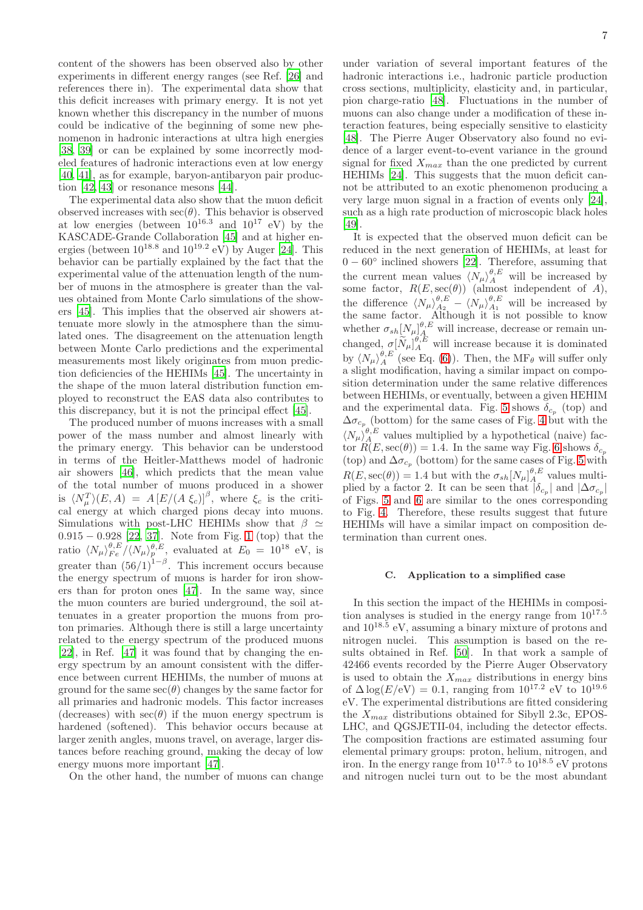content of the showers has been observed also by other experiments in different energy ranges (see Ref. [\[26\]](#page-9-20) and references there in). The experimental data show that this deficit increases with primary energy. It is not yet known whether this discrepancy in the number of muons could be indicative of the beginning of some new phenomenon in hadronic interactions at ultra high energies [\[38,](#page-9-34) [39\]](#page-9-35) or can be explained by some incorrectly modeled features of hadronic interactions even at low energy [\[40,](#page-9-36) [41\]](#page-9-37), as for example, baryon-antibaryon pair production [\[42](#page-9-38), [43](#page-9-39)] or resonance mesons [\[44](#page-9-40)].

The experimental data also show that the muon deficit observed increases with  $\sec(\theta)$ . This behavior is observed at low energies (between  $10^{16.3}$  and  $10^{17}$  eV) by the KASCADE-Grande Collaboration [\[45](#page-9-41)] and at higher energies (between  $10^{18.8}$  and  $10^{19.2}$  eV) by Auger [\[24\]](#page-9-32). This behavior can be partially explained by the fact that the experimental value of the attenuation length of the number of muons in the atmosphere is greater than the values obtained from Monte Carlo simulations of the showers [\[45\]](#page-9-41). This implies that the observed air showers attenuate more slowly in the atmosphere than the simulated ones. The disagreement on the attenuation length between Monte Carlo predictions and the experimental measurements most likely originates from muon prediction deficiencies of the HEHIMs [\[45\]](#page-9-41). The uncertainty in the shape of the muon lateral distribution function employed to reconstruct the EAS data also contributes to this discrepancy, but it is not the principal effect [\[45](#page-9-41)].

The produced number of muons increases with a small power of the mass number and almost linearly with the primary energy. This behavior can be understood in terms of the Heitler-Matthews model of hadronic air showers [\[46\]](#page-9-42), which predicts that the mean value of the total number of muons produced in a shower is  $\langle N_\mu^T \rangle (E, A) = A \left[ E/(A \xi_c) \right]^{\beta}$ , where  $\xi_c$  is the critical energy at which charged pions decay into muons. Simulations with post-LHC HEHIMs show that  $\beta \simeq$  $0.915 - 0.928$  $0.915 - 0.928$  $0.915 - 0.928$  [\[22](#page-9-18), [37\]](#page-9-31). Note from Fig. 1 (top) that the ratio  $\langle N_{\mu} \rangle_{Fe}^{\theta, E} / \langle N_{\mu} \rangle_{p}^{\theta, E},$  evaluated at  $E_0 = 10^{18}$  eV, is greater than  $(56/1)^{1-\beta}$ . This increment occurs because the energy spectrum of muons is harder for iron showers than for proton ones [\[47\]](#page-9-43). In the same way, since the muon counters are buried underground, the soil attenuates in a greater proportion the muons from proton primaries. Although there is still a large uncertainty related to the energy spectrum of the produced muons [\[22\]](#page-9-18), in Ref. [\[47\]](#page-9-43) it was found that by changing the energy spectrum by an amount consistent with the difference between current HEHIMs, the number of muons at ground for the same  $\sec(\theta)$  changes by the same factor for all primaries and hadronic models. This factor increases (decreases) with  $\sec(\theta)$  if the muon energy spectrum is hardened (softened). This behavior occurs because at larger zenith angles, muons travel, on average, larger distances before reaching ground, making the decay of low energy muons more important [\[47\]](#page-9-43).

On the other hand, the number of muons can change

7

under variation of several important features of the hadronic interactions i.e., hadronic particle production cross sections, multiplicity, elasticity and, in particular, pion charge-ratio [\[48](#page-9-44)]. Fluctuations in the number of muons can also change under a modification of these interaction features, being especially sensitive to elasticity [\[48\]](#page-9-44). The Pierre Auger Observatory also found no evidence of a larger event-to-event variance in the ground signal for fixed  $X_{max}$  than the one predicted by current HEHIMs [\[24\]](#page-9-32). This suggests that the muon deficit cannot be attributed to an exotic phenomenon producing a very large muon signal in a fraction of events only [\[24\]](#page-9-32), such as a high rate production of microscopic black holes [\[49\]](#page-9-45).

It is expected that the observed muon deficit can be reduced in the next generation of HEHIMs, at least for  $0-60^\circ$  $0-60^{\circ}$  inclined showers [\[22\]](#page-9-18). Therefore, assuming that the current mean values  $\langle N_\mu \rangle_A^{\theta,E}$  will be increased by some factor,  $R(E, \sec(\theta))$  (almost independent of A), the difference  $\langle N_{\mu} \rangle_{A_2}^{\theta,E} - \langle N_{\mu} \rangle_{A_1}^{\theta,E}$  will be increased by the same factor. Although it is not possible to know whether  $\sigma_{sh}[N_{\mu}]_{A}^{\theta,E}$  will increase, decrease or remain unchanged,  $\sigma[\widetilde{N}_{\mu}]_A^{\theta,E}$  will increase because it is dominated<br>by  $\langle N \rangle^{(\theta,E)}$  (see Eq. (6)). Then, the ME, will suffer only by  $\langle N_{\mu} \rangle_A^{\sigma,E}$  (see Eq. [\(6\)](#page-2-4)). Then, the MF<sub> $\theta$ </sub> will suffer only a slight modification, having a similar impact on composition determination under the same relative differences between HEHIMs, or eventually, between a given HEHIM and the experimental data. Fig. [5](#page-7-0) shows  $\delta_{c_p}$  (top) and  $\Delta\sigma_{c_p}$  (bottom) for the same cases of Fig. [4](#page-5-2) but with the  $\langle N_{\mu} \rangle^{\theta,E}_{A}$  values multiplied by a hypothetical (naive) factor  $R(E, \sec(\theta)) = 1.4$ . In the same way Fig. [6](#page-7-1) shows  $\delta_{c_p}$ (top) and  $\Delta \sigma_{c_p}$  (bottom) for the same cases of Fig. [5](#page-7-0) with  $R(E, \sec(\theta)) = 1.4$  but with the  $\sigma_{sh}[N_{\mu}]_A^{\theta, E}$  values multiplied by a factor 2. It can be seen that  $|\delta_{c_p}|$  and  $|\Delta \sigma_{c_p}|$ of Figs. [5](#page-7-0) and [6](#page-7-1) are similar to the ones corresponding to Fig. [4.](#page-5-2) Therefore, these results suggest that future HEHIMs will have a similar impact on composition determination than current ones.

### <span id="page-6-0"></span>C. Application to a simplified case

In this section the impact of the HEHIMs in composition analyses is studied in the energy range from  $10^{17.5}$ and  $10^{18.5}$  eV, assuming a binary mixture of protons and nitrogen nuclei. This assumption is based on the results obtained in Ref. [\[50](#page-9-46)]. In that work a sample of 42466 events recorded by the Pierre Auger Observatory is used to obtain the  $X_{max}$  distributions in energy bins of  $\Delta \log(E/\text{eV}) = 0.1$ , ranging from  $10^{17.2}$  eV to  $10^{19.6}$ eV. The experimental distributions are fitted considering the  $X_{max}$  distributions obtained for Sibyll 2.3c, EPOS-LHC, and QGSJETII-04, including the detector effects. The composition fractions are estimated assuming four elemental primary groups: proton, helium, nitrogen, and iron. In the energy range from  $10^{17.5}$  to  $10^{18.5}$  eV protons and nitrogen nuclei turn out to be the most abundant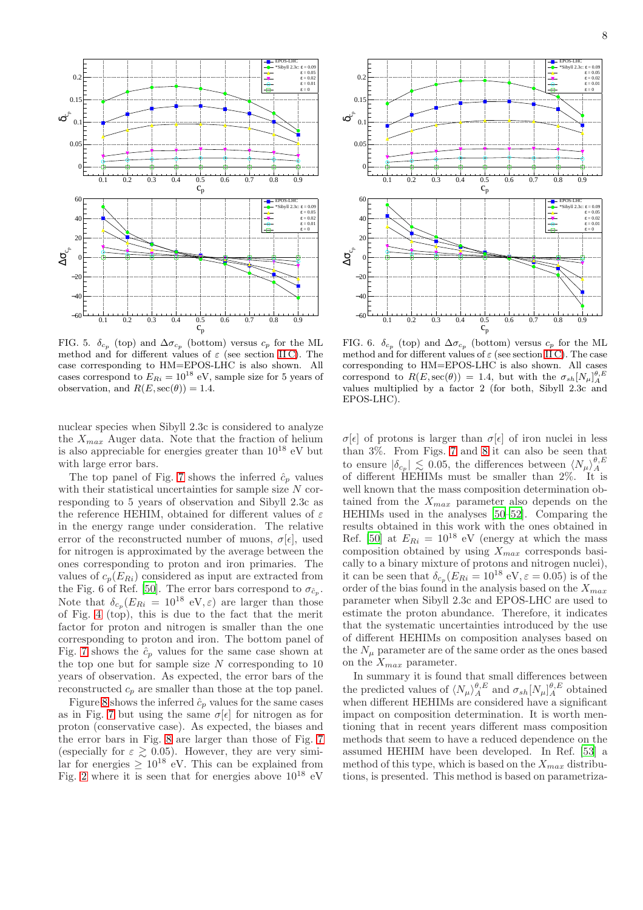

<span id="page-7-0"></span>FIG. 5.  $\delta_{c_p}$  (top) and  $\Delta \sigma_{c_p}$  (bottom) versus  $c_p$  for the ML method and for different values of  $\varepsilon$  (see section IIC). The case corresponding to HM=EPOS-LHC is also shown. All cases correspond to  $E_{Ri} = 10^{18}$  eV, sample size for 5 years of observation, and  $R(E, \sec(\theta)) = 1.4$ .

nuclear species when Sibyll 2.3c is considered to analyze the  $X_{max}$  Auger data. Note that the fraction of helium is also appreciable for energies greater than  $10^{18}$  eV but with large error bars.

The top panel of Fig. [7](#page-8-0) shows the inferred  $\hat{c}_p$  values with their statistical uncertainties for sample size  $N$  corresponding to 5 years of observation and Sibyll 2.3c as the reference HEHIM, obtained for different values of  $\varepsilon$ in the energy range under consideration. The relative error of the reconstructed number of muons,  $\sigma[\epsilon]$ , used for nitrogen is approximated by the average between the ones corresponding to proton and iron primaries. The values of  $c_p(E_{Ri})$  considered as input are extracted from the Fig. 6 of Ref. [\[50\]](#page-9-46). The error bars correspond to  $\sigma_{\hat{c}_p}$ . Note that  $\delta_{c_p}(E_{Ri} = 10^{18} \text{ eV}, \varepsilon)$  are larger than those of Fig. [4](#page-5-2) (top), this is due to the fact that the merit factor for proton and nitrogen is smaller than the one corresponding to proton and iron. The bottom panel of Fig. [7](#page-8-0) shows the  $\hat{c}_p$  values for the same case shown at the top one but for sample size  $N$  corresponding to 10 years of observation. As expected, the error bars of the reconstructed  $c_p$  are smaller than those at the top panel.

Figure [8](#page-8-1) shows the inferred  $\hat{c}_p$  values for the same cases as in Fig. [7](#page-8-0) but using the same  $\sigma[\epsilon]$  for nitrogen as for proton (conservative case). As expected, the biases and the error bars in Fig. [8](#page-8-1) are larger than those of Fig. [7](#page-8-0) (especially for  $\varepsilon \gtrsim 0.05$ ). However, they are very similar for energies  $> 10^{18}$  eV. This can be explained from Fig. [2](#page-3-0) where it is seen that for energies above  $10^{18}$  eV



<span id="page-7-1"></span>FIG. 6.  $\delta_{c_p}$  (top) and  $\Delta \sigma_{c_p}$  (bottom) versus  $c_p$  for the ML method and for different values of  $\varepsilon$  (see section [II C\)](#page-3-3). The case corresponding to HM=EPOS-LHC is also shown. All cases correspond to  $R(E, \sec(\theta)) = 1.4$ , but with the  $\sigma_{sh}[N_{\mu}]^{\theta, E}_{A}$ values multiplied by a factor 2 (for both, Sibyll 2.3c and EPOS-LHC).

 $\sigma[\epsilon]$  of protons is larger than  $\sigma[\epsilon]$  of iron nuclei in less than 3%. From Figs. [7](#page-8-0) and [8](#page-8-1) it can also be seen that to ensure  $|\delta_{c_p}| \lesssim 0.05$ , the differences between  $\langle N_\mu \rangle_A^{\theta, E}$ of different HEHIMs must be smaller than 2%. It is well known that the mass composition determination obtained from the  $X_{max}$  parameter also depends on the HEHIMs used in the analyses [\[50](#page-9-46)[–52\]](#page-9-47). Comparing the results obtained in this work with the ones obtained in Ref. [\[50\]](#page-9-46) at  $E_{Ri} = 10^{18}$  eV (energy at which the mass composition obtained by using  $\widetilde{X}_{max}$  corresponds basically to a binary mixture of protons and nitrogen nuclei), it can be seen that  $\delta_{c_p}(E_{Ri} = 10^{18} \text{ eV}, \varepsilon = 0.05)$  is of the order of the bias found in the analysis based on the  $X_{max}$ parameter when Sibyll 2.3c and EPOS-LHC are used to estimate the proton abundance. Therefore, it indicates that the systematic uncertainties introduced by the use of different HEHIMs on composition analyses based on the  $N_{\mu}$  parameter are of the same order as the ones based on the  $X_{max}$  parameter.

In summary it is found that small differences between the predicted values of  $\langle N_{\mu} \rangle^{\theta,E}_A$  and  $\sigma_{sh}[N_{\mu}]^{\theta,E}_A$  obtained when different HEHIMs are considered have a significant impact on composition determination. It is worth mentioning that in recent years different mass composition methods that seem to have a reduced dependence on the assumed HEHIM have been developed. In Ref. [\[53\]](#page-9-48) a method of this type, which is based on the  $X_{max}$  distributions, is presented. This method is based on parametriza-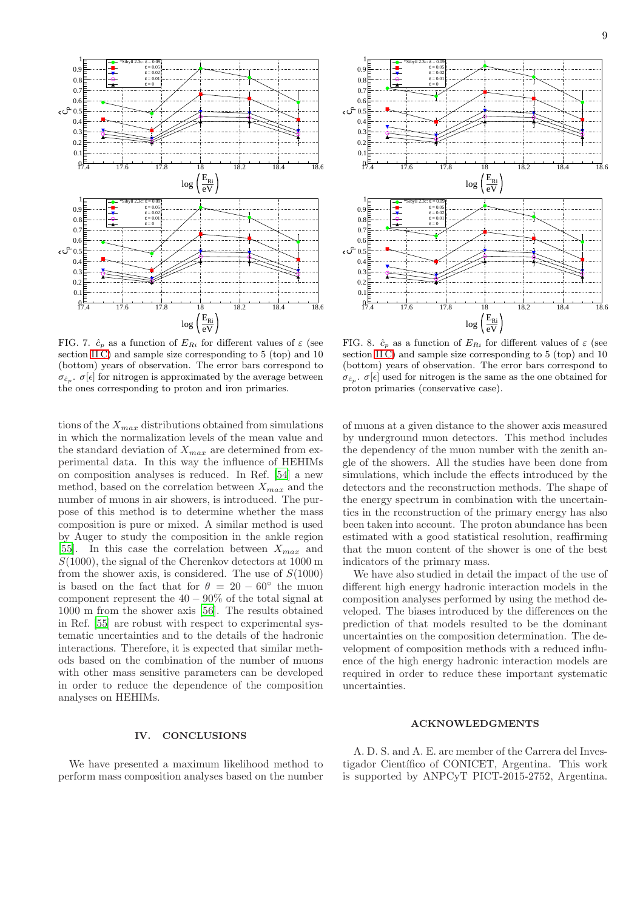

<span id="page-8-0"></span>FIG. 7.  $\hat{c}_p$  as a function of  $E_{Ri}$  for different values of  $\varepsilon$  (see section [II C\)](#page-3-3) and sample size corresponding to 5 (top) and 10 (bottom) years of observation. The error bars correspond to  $\sigma_{\hat{c}_p}$ .  $\sigma[\epsilon]$  for nitrogen is approximated by the average between the ones corresponding to proton and iron primaries.

tions of the  $X_{max}$  distributions obtained from simulations in which the normalization levels of the mean value and the standard deviation of  $X_{max}$  are determined from experimental data. In this way the influence of HEHIMs on composition analyses is reduced. In Ref. [\[54](#page-9-49)] a new method, based on the correlation between  $X_{max}$  and the number of muons in air showers, is introduced. The purpose of this method is to determine whether the mass composition is pure or mixed. A similar method is used by Auger to study the composition in the ankle region [\[55\]](#page-9-50). In this case the correlation between  $X_{max}$  and  $S(1000)$ , the signal of the Cherenkov detectors at 1000 m from the shower axis, is considered. The use of  $S(1000)$ is based on the fact that for  $\theta = 20 - 60°$  the muon component represent the  $40 - 90\%$  of the total signal at 1000 m from the shower axis [\[56\]](#page-9-51). The results obtained in Ref. [\[55\]](#page-9-50) are robust with respect to experimental systematic uncertainties and to the details of the hadronic interactions. Therefore, it is expected that similar methods based on the combination of the number of muons with other mass sensitive parameters can be developed in order to reduce the dependence of the composition analyses on HEHIMs.

### IV. CONCLUSIONS

We have presented a maximum likelihood method to perform mass composition analyses based on the number



<span id="page-8-1"></span>FIG. 8.  $\hat{c}_p$  as a function of  $E_{Ri}$  for different values of  $\varepsilon$  (see section [II C\)](#page-3-3) and sample size corresponding to 5 (top) and 10 (bottom) years of observation. The error bars correspond to  $\sigma_{\hat{c}_p}$ .  $\sigma[\epsilon]$  used for nitrogen is the same as the one obtained for proton primaries (conservative case).

of muons at a given distance to the shower axis measured by underground muon detectors. This method includes the dependency of the muon number with the zenith angle of the showers. All the studies have been done from simulations, which include the effects introduced by the detectors and the reconstruction methods. The shape of the energy spectrum in combination with the uncertainties in the reconstruction of the primary energy has also been taken into account. The proton abundance has been estimated with a good statistical resolution, reaffirming that the muon content of the shower is one of the best indicators of the primary mass.

We have also studied in detail the impact of the use of different high energy hadronic interaction models in the composition analyses performed by using the method developed. The biases introduced by the differences on the prediction of that models resulted to be the dominant uncertainties on the composition determination. The development of composition methods with a reduced influence of the high energy hadronic interaction models are required in order to reduce these important systematic uncertainties.

### ACKNOWLEDGMENTS

A. D. S. and A. E. are member of the Carrera del Investigador Científico of CONICET, Argentina. This work is supported by ANPCyT PICT-2015-2752, Argentina.